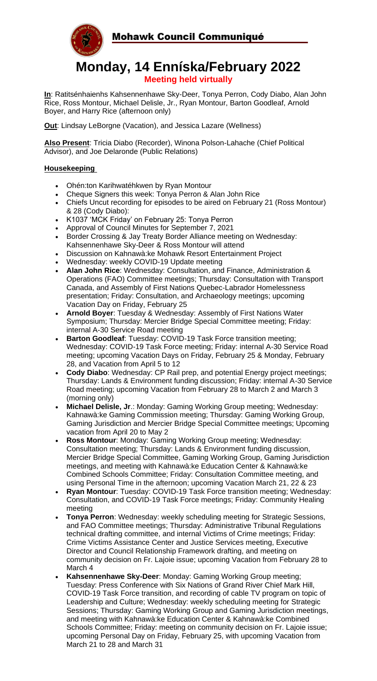

# **Monday, 14 Enníska/February 2022 Meeting held virtually**

**In**: Ratitsénhaienhs Kahsennenhawe Sky-Deer, Tonya Perron, Cody Diabo, Alan John Rice, Ross Montour, Michael Delisle, Jr., Ryan Montour, Barton Goodleaf, Arnold Boyer, and Harry Rice (afternoon only)

**Out**: Lindsay LeBorgne (Vacation), and Jessica Lazare (Wellness)

**Also Present**: Tricia Diabo (Recorder), Winona Polson-Lahache (Chief Political Advisor), and Joe Delaronde (Public Relations)

# **Housekeeping**

- Ohén:ton Karihwatéhkwen by Ryan Montour
- Cheque Signers this week: Tonya Perron & Alan John Rice
- Chiefs Uncut recording for episodes to be aired on February 21 (Ross Montour) & 28 (Cody Diabo):
- K1037 'MCK Friday' on February 25: Tonya Perron
- Approval of Council Minutes for September 7, 2021
- Border Crossing & Jay Treaty Border Alliance meeting on Wednesday: Kahsennenhawe Sky-Deer & Ross Montour will attend
- Discussion on Kahnawà:ke Mohawk Resort Entertainment Project
- Wednesday: weekly COVID-19 Update meeting
- **Alan John Rice**: Wednesday: Consultation, and Finance, Administration & Operations (FAO) Committee meetings; Thursday: Consultation with Transport Canada, and Assembly of First Nations Quebec-Labrador Homelessness presentation; Friday: Consultation, and Archaeology meetings; upcoming Vacation Day on Friday, February 25
- **Arnold Boyer**: Tuesday & Wednesday: Assembly of First Nations Water Symposium; Thursday: Mercier Bridge Special Committee meeting; Friday: internal A-30 Service Road meeting
- **Barton Goodleaf:** Tuesday: COVID-19 Task Force transition meeting; Wednesday: COVID-19 Task Force meeting; Friday: internal A-30 Service Road meeting; upcoming Vacation Days on Friday, February 25 & Monday, February 28, and Vacation from April 5 to 12
- **Cody Diabo**: Wednesday: CP Rail prep, and potential Energy project meetings; Thursday: Lands & Environment funding discussion; Friday: internal A-30 Service Road meeting; upcoming Vacation from February 28 to March 2 and March 3 (morning only)
- **Michael Delisle, Jr**.: Monday: Gaming Working Group meeting; Wednesday: Kahnawà:ke Gaming Commission meeting; Thursday: Gaming Working Group, Gaming Jurisdiction and Mercier Bridge Special Committee meetings; Upcoming vacation from April 20 to May 2
- **Ross Montour**: Monday: Gaming Working Group meeting; Wednesday: Consultation meeting; Thursday: Lands & Environment funding discussion, Mercier Bridge Special Committee, Gaming Working Group, Gaming Jurisdiction meetings, and meeting with Kahnawà:ke Education Center & Kahnawà:ke Combined Schools Committee; Friday: Consultation Committee meeting, and using Personal Time in the afternoon; upcoming Vacation March 21, 22 & 23
- **Ryan Montour**: Tuesday: COVID-19 Task Force transition meeting; Wednesday: Consultation, and COVID-19 Task Force meetings; Friday: Community Healing meeting
- **Tonya Perron**: Wednesday: weekly scheduling meeting for Strategic Sessions, and FAO Committee meetings; Thursday: Administrative Tribunal Regulations technical drafting committee, and internal Victims of Crime meetings; Friday: Crime Victims Assistance Center and Justice Services meeting, Executive Director and Council Relationship Framework drafting, and meeting on community decision on Fr. Lajoie issue; upcoming Vacation from February 28 to March 4
- **Kahsennenhawe Sky-Deer**: Monday: Gaming Working Group meeting; Tuesday: Press Conference with Six Nations of Grand River Chief Mark Hill, COVID-19 Task Force transition, and recording of cable TV program on topic of Leadership and Culture; Wednesday: weekly scheduling meeting for Strategic Sessions; Thursday: Gaming Working Group and Gaming Jurisdiction meetings, and meeting with Kahnawà:ke Education Center & Kahnawà:ke Combined Schools Committee; Friday: meeting on community decision on Fr. Lajoie issue; upcoming Personal Day on Friday, February 25, with upcoming Vacation from March 21 to 28 and March 31